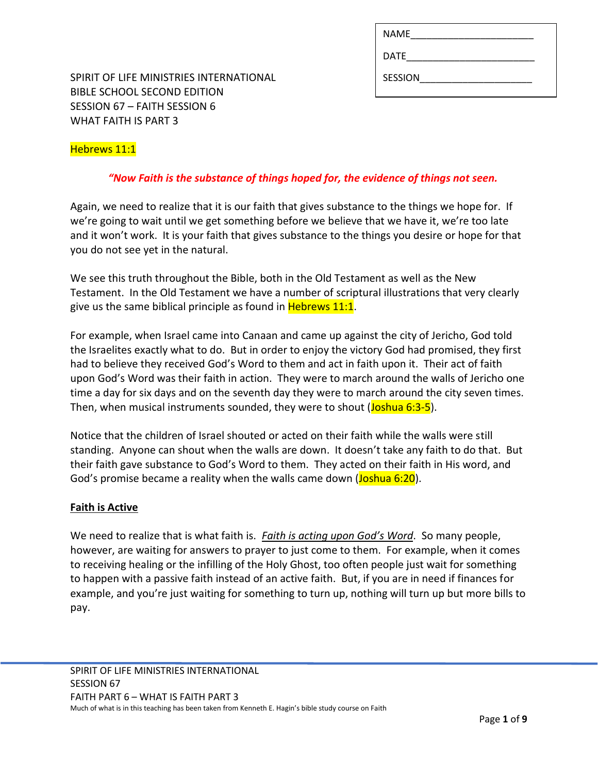| <b>NAME</b>    |  |
|----------------|--|
| <b>DATE</b>    |  |
| <b>SESSION</b> |  |

SPIRIT OF LIFE MINISTRIES INTERNATIONAL BIBLE SCHOOL SECOND EDITION SESSION 67 – FAITH SESSION 6 WHAT FAITH IS PART 3

### Hebrews 11:1

## *"Now Faith is the substance of things hoped for, the evidence of things not seen.*

Again, we need to realize that it is our faith that gives substance to the things we hope for. If we're going to wait until we get something before we believe that we have it, we're too late and it won't work. It is your faith that gives substance to the things you desire or hope for that you do not see yet in the natural.

We see this truth throughout the Bible, both in the Old Testament as well as the New Testament. In the Old Testament we have a number of scriptural illustrations that very clearly give us the same biblical principle as found in  $Hebrews$  11:1.

For example, when Israel came into Canaan and came up against the city of Jericho, God told the Israelites exactly what to do. But in order to enjoy the victory God had promised, they first had to believe they received God's Word to them and act in faith upon it. Their act of faith upon God's Word was their faith in action. They were to march around the walls of Jericho one time a day for six days and on the seventh day they were to march around the city seven times. Then, when musical instruments sounded, they were to shout (Joshua 6:3-5).

Notice that the children of Israel shouted or acted on their faith while the walls were still standing. Anyone can shout when the walls are down. It doesn't take any faith to do that. But their faith gave substance to God's Word to them. They acted on their faith in His word, and God's promise became a reality when the walls came down (Joshua 6:20).

### **Faith is Active**

We need to realize that is what faith is. *Faith is acting upon God's Word*. So many people, however, are waiting for answers to prayer to just come to them. For example, when it comes to receiving healing or the infilling of the Holy Ghost, too often people just wait for something to happen with a passive faith instead of an active faith. But, if you are in need if finances for example, and you're just waiting for something to turn up, nothing will turn up but more bills to pay.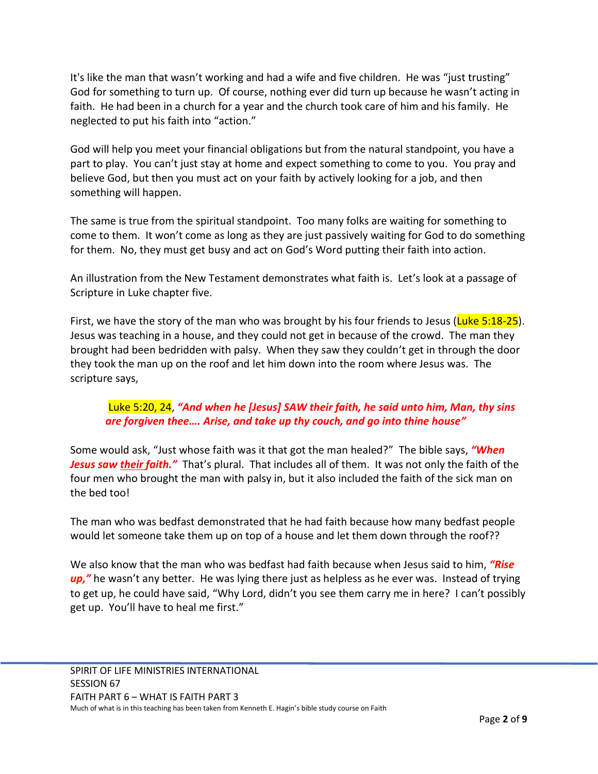It's like the man that wasn't working and had a wife and five children. He was "just trusting" God for something to turn up. Of course, nothing ever did turn up because he wasn't acting in faith. He had been in a church for a year and the church took care of him and his family. He neglected to put his faith into "action."

God will help you meet your financial obligations but from the natural standpoint, you have a part to play. You can't just stay at home and expect something to come to you. You pray and believe God, but then you must act on your faith by actively looking for a job, and then something will happen.

The same is true from the spiritual standpoint. Too many folks are waiting for something to come to them. It won't come as long as they are just passively waiting for God to do something for them. No, they must get busy and act on God's Word putting their faith into action.

An illustration from the New Testament demonstrates what faith is. Let's look at a passage of Scripture in Luke chapter five.

First, we have the story of the man who was brought by his four friends to Jesus (Luke 5:18-25). Jesus was teaching in a house, and they could not get in because of the crowd. The man they brought had been bedridden with palsy. When they saw they couldn't get in through the door they took the man up on the roof and let him down into the room where Jesus was. The scripture says,

## Luke 5:20, 24, *"And when he [Jesus] SAW their faith, he said unto him, Man, thy sins are forgiven thee…. Arise, and take up thy couch, and go into thine house"*

Some would ask, "Just whose faith was it that got the man healed?" The bible says, *"When Jesus saw their faith."* That's plural. That includes all of them. It was not only the faith of the four men who brought the man with palsy in, but it also included the faith of the sick man on the bed too!

The man who was bedfast demonstrated that he had faith because how many bedfast people would let someone take them up on top of a house and let them down through the roof??

We also know that the man who was bedfast had faith because when Jesus said to him, *"Rise up,"* he wasn't any better. He was lying there just as helpless as he ever was. Instead of trying to get up, he could have said, "Why Lord, didn't you see them carry me in here? I can't possibly get up. You'll have to heal me first."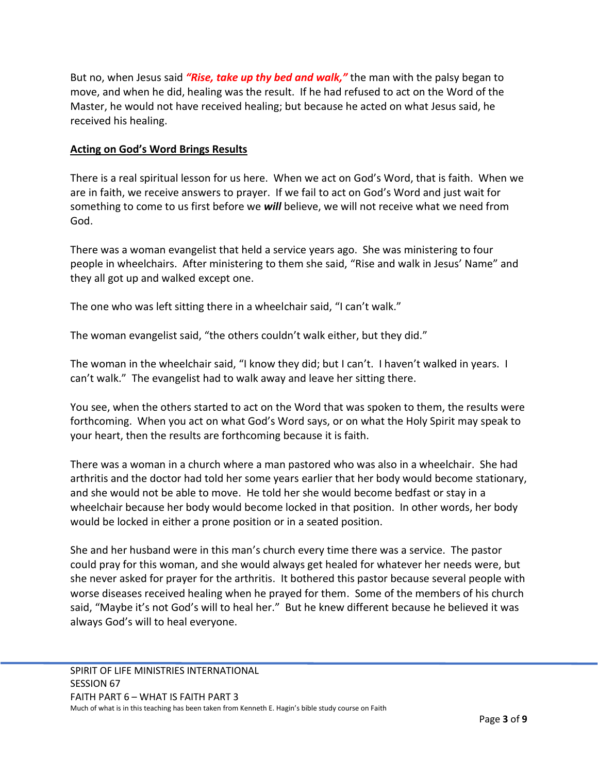But no, when Jesus said *"Rise, take up thy bed and walk,"* the man with the palsy began to move, and when he did, healing was the result. If he had refused to act on the Word of the Master, he would not have received healing; but because he acted on what Jesus said, he received his healing.

#### **Acting on God's Word Brings Results**

There is a real spiritual lesson for us here. When we act on God's Word, that is faith. When we are in faith, we receive answers to prayer. If we fail to act on God's Word and just wait for something to come to us first before we *will* believe, we will not receive what we need from God.

There was a woman evangelist that held a service years ago. She was ministering to four people in wheelchairs. After ministering to them she said, "Rise and walk in Jesus' Name" and they all got up and walked except one.

The one who was left sitting there in a wheelchair said, "I can't walk."

The woman evangelist said, "the others couldn't walk either, but they did."

The woman in the wheelchair said, "I know they did; but I can't. I haven't walked in years. I can't walk." The evangelist had to walk away and leave her sitting there.

You see, when the others started to act on the Word that was spoken to them, the results were forthcoming. When you act on what God's Word says, or on what the Holy Spirit may speak to your heart, then the results are forthcoming because it is faith.

There was a woman in a church where a man pastored who was also in a wheelchair. She had arthritis and the doctor had told her some years earlier that her body would become stationary, and she would not be able to move. He told her she would become bedfast or stay in a wheelchair because her body would become locked in that position. In other words, her body would be locked in either a prone position or in a seated position.

She and her husband were in this man's church every time there was a service. The pastor could pray for this woman, and she would always get healed for whatever her needs were, but she never asked for prayer for the arthritis. It bothered this pastor because several people with worse diseases received healing when he prayed for them. Some of the members of his church said, "Maybe it's not God's will to heal her." But he knew different because he believed it was always God's will to heal everyone.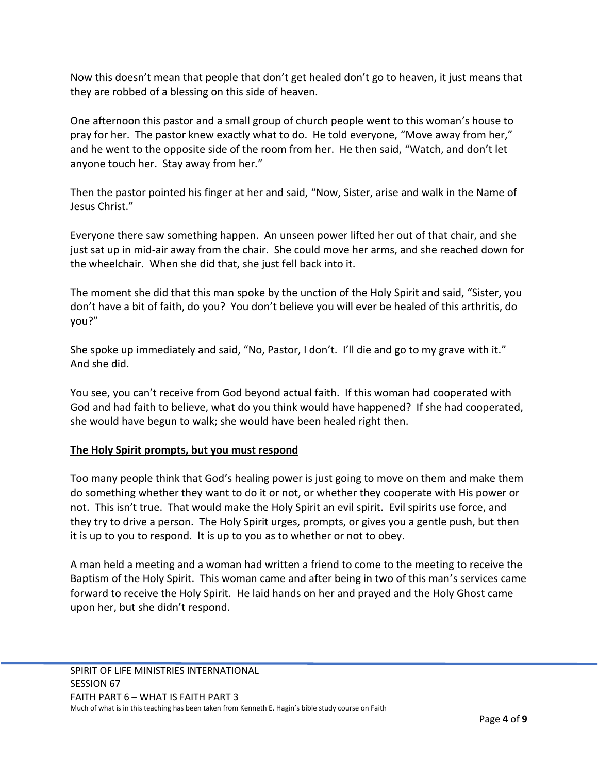Now this doesn't mean that people that don't get healed don't go to heaven, it just means that they are robbed of a blessing on this side of heaven.

One afternoon this pastor and a small group of church people went to this woman's house to pray for her. The pastor knew exactly what to do. He told everyone, "Move away from her," and he went to the opposite side of the room from her. He then said, "Watch, and don't let anyone touch her. Stay away from her."

Then the pastor pointed his finger at her and said, "Now, Sister, arise and walk in the Name of Jesus Christ."

Everyone there saw something happen. An unseen power lifted her out of that chair, and she just sat up in mid-air away from the chair. She could move her arms, and she reached down for the wheelchair. When she did that, she just fell back into it.

The moment she did that this man spoke by the unction of the Holy Spirit and said, "Sister, you don't have a bit of faith, do you? You don't believe you will ever be healed of this arthritis, do you?"

She spoke up immediately and said, "No, Pastor, I don't. I'll die and go to my grave with it." And she did.

You see, you can't receive from God beyond actual faith. If this woman had cooperated with God and had faith to believe, what do you think would have happened? If she had cooperated, she would have begun to walk; she would have been healed right then.

## **The Holy Spirit prompts, but you must respond**

Too many people think that God's healing power is just going to move on them and make them do something whether they want to do it or not, or whether they cooperate with His power or not. This isn't true. That would make the Holy Spirit an evil spirit. Evil spirits use force, and they try to drive a person. The Holy Spirit urges, prompts, or gives you a gentle push, but then it is up to you to respond. It is up to you as to whether or not to obey.

A man held a meeting and a woman had written a friend to come to the meeting to receive the Baptism of the Holy Spirit. This woman came and after being in two of this man's services came forward to receive the Holy Spirit. He laid hands on her and prayed and the Holy Ghost came upon her, but she didn't respond.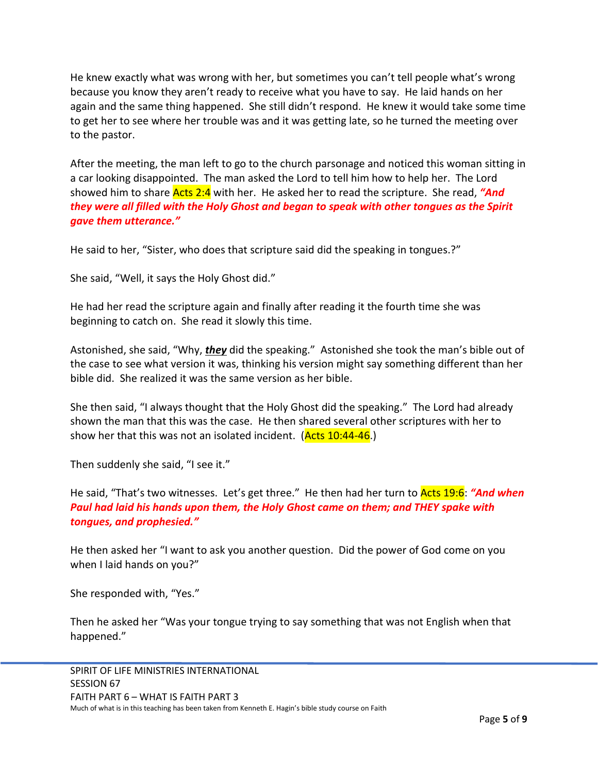He knew exactly what was wrong with her, but sometimes you can't tell people what's wrong because you know they aren't ready to receive what you have to say. He laid hands on her again and the same thing happened. She still didn't respond. He knew it would take some time to get her to see where her trouble was and it was getting late, so he turned the meeting over to the pastor.

After the meeting, the man left to go to the church parsonage and noticed this woman sitting in a car looking disappointed. The man asked the Lord to tell him how to help her. The Lord showed him to share Acts 2:4 with her. He asked her to read the scripture. She read, *"And they were all filled with the Holy Ghost and began to speak with other tongues as the Spirit gave them utterance."*

He said to her, "Sister, who does that scripture said did the speaking in tongues.?"

She said, "Well, it says the Holy Ghost did."

He had her read the scripture again and finally after reading it the fourth time she was beginning to catch on. She read it slowly this time.

Astonished, she said, "Why, *they* did the speaking." Astonished she took the man's bible out of the case to see what version it was, thinking his version might say something different than her bible did. She realized it was the same version as her bible.

She then said, "I always thought that the Holy Ghost did the speaking." The Lord had already shown the man that this was the case. He then shared several other scriptures with her to show her that this was not an isolated incident. (Acts 10:44-46.)

Then suddenly she said, "I see it."

He said, "That's two witnesses. Let's get three." He then had her turn to Acts 19:6: *"And when Paul had laid his hands upon them, the Holy Ghost came on them; and THEY spake with tongues, and prophesied."*

He then asked her "I want to ask you another question. Did the power of God come on you when I laid hands on you?"

She responded with, "Yes."

Then he asked her "Was your tongue trying to say something that was not English when that happened."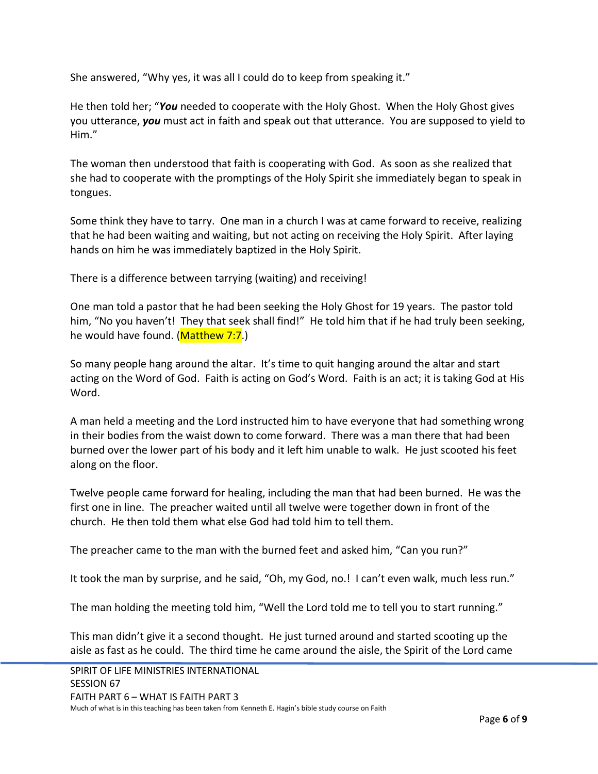She answered, "Why yes, it was all I could do to keep from speaking it."

He then told her; "*You* needed to cooperate with the Holy Ghost. When the Holy Ghost gives you utterance, *you* must act in faith and speak out that utterance. You are supposed to yield to Him."

The woman then understood that faith is cooperating with God. As soon as she realized that she had to cooperate with the promptings of the Holy Spirit she immediately began to speak in tongues.

Some think they have to tarry. One man in a church I was at came forward to receive, realizing that he had been waiting and waiting, but not acting on receiving the Holy Spirit. After laying hands on him he was immediately baptized in the Holy Spirit.

There is a difference between tarrying (waiting) and receiving!

One man told a pastor that he had been seeking the Holy Ghost for 19 years. The pastor told him, "No you haven't! They that seek shall find!" He told him that if he had truly been seeking, he would have found. (Matthew 7:7.)

So many people hang around the altar. It's time to quit hanging around the altar and start acting on the Word of God. Faith is acting on God's Word. Faith is an act; it is taking God at His Word.

A man held a meeting and the Lord instructed him to have everyone that had something wrong in their bodies from the waist down to come forward. There was a man there that had been burned over the lower part of his body and it left him unable to walk. He just scooted his feet along on the floor.

Twelve people came forward for healing, including the man that had been burned. He was the first one in line. The preacher waited until all twelve were together down in front of the church. He then told them what else God had told him to tell them.

The preacher came to the man with the burned feet and asked him, "Can you run?"

It took the man by surprise, and he said, "Oh, my God, no.! I can't even walk, much less run."

The man holding the meeting told him, "Well the Lord told me to tell you to start running."

This man didn't give it a second thought. He just turned around and started scooting up the aisle as fast as he could. The third time he came around the aisle, the Spirit of the Lord came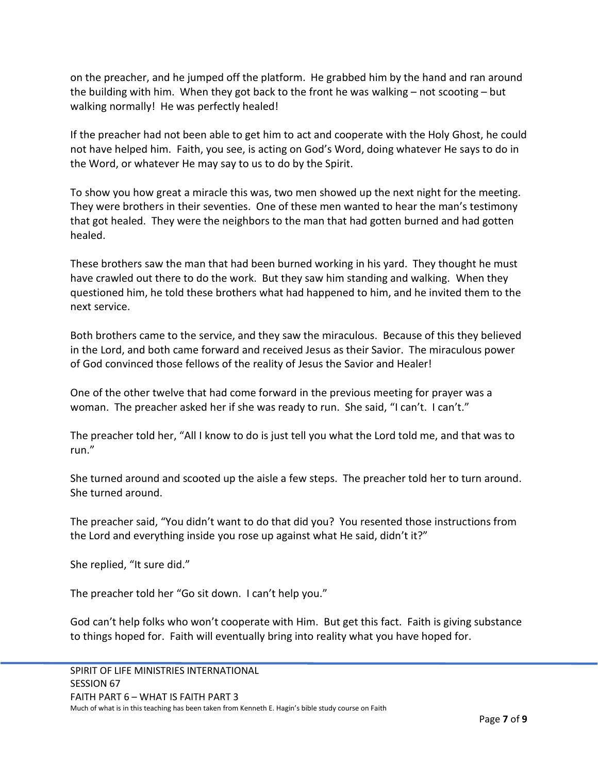on the preacher, and he jumped off the platform. He grabbed him by the hand and ran around the building with him. When they got back to the front he was walking – not scooting – but walking normally! He was perfectly healed!

If the preacher had not been able to get him to act and cooperate with the Holy Ghost, he could not have helped him. Faith, you see, is acting on God's Word, doing whatever He says to do in the Word, or whatever He may say to us to do by the Spirit.

To show you how great a miracle this was, two men showed up the next night for the meeting. They were brothers in their seventies. One of these men wanted to hear the man's testimony that got healed. They were the neighbors to the man that had gotten burned and had gotten healed.

These brothers saw the man that had been burned working in his yard. They thought he must have crawled out there to do the work. But they saw him standing and walking. When they questioned him, he told these brothers what had happened to him, and he invited them to the next service.

Both brothers came to the service, and they saw the miraculous. Because of this they believed in the Lord, and both came forward and received Jesus as their Savior. The miraculous power of God convinced those fellows of the reality of Jesus the Savior and Healer!

One of the other twelve that had come forward in the previous meeting for prayer was a woman. The preacher asked her if she was ready to run. She said, "I can't. I can't."

The preacher told her, "All I know to do is just tell you what the Lord told me, and that was to run."

She turned around and scooted up the aisle a few steps. The preacher told her to turn around. She turned around.

The preacher said, "You didn't want to do that did you? You resented those instructions from the Lord and everything inside you rose up against what He said, didn't it?"

She replied, "It sure did."

The preacher told her "Go sit down. I can't help you."

God can't help folks who won't cooperate with Him. But get this fact. Faith is giving substance to things hoped for. Faith will eventually bring into reality what you have hoped for.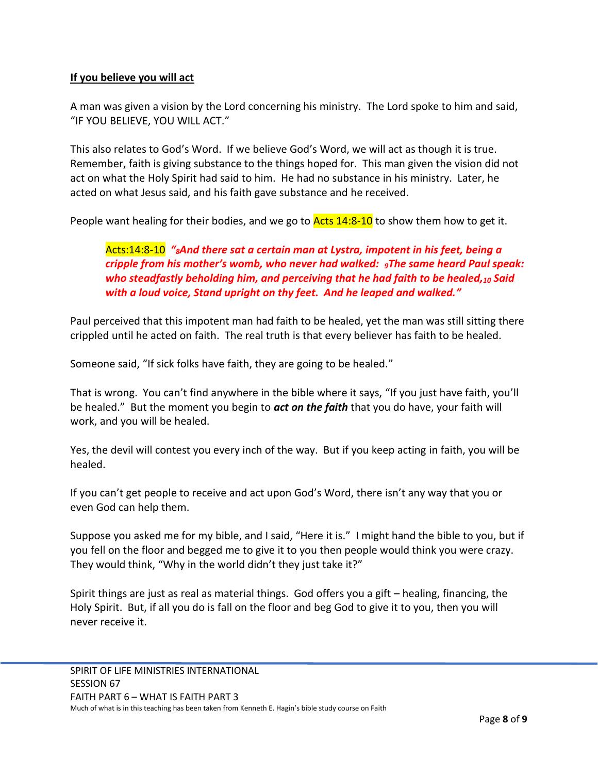## **If you believe you will act**

A man was given a vision by the Lord concerning his ministry. The Lord spoke to him and said, "IF YOU BELIEVE, YOU WILL ACT."

This also relates to God's Word. If we believe God's Word, we will act as though it is true. Remember, faith is giving substance to the things hoped for. This man given the vision did not act on what the Holy Spirit had said to him. He had no substance in his ministry. Later, he acted on what Jesus said, and his faith gave substance and he received.

People want healing for their bodies, and we go to  $\frac{\text{Acts}}{14:8-10}$  to show them how to get it.

# Acts:14:8-10 *"8And there sat a certain man at Lystra, impotent in his feet, being a cripple from his mother's womb, who never had walked: 9The same heard Paul speak: who steadfastly beholding him, and perceiving that he had faith to be healed,<sup>10</sup> Said with a loud voice, Stand upright on thy feet. And he leaped and walked."*

Paul perceived that this impotent man had faith to be healed, yet the man was still sitting there crippled until he acted on faith. The real truth is that every believer has faith to be healed.

Someone said, "If sick folks have faith, they are going to be healed."

That is wrong. You can't find anywhere in the bible where it says, "If you just have faith, you'll be healed." But the moment you begin to *act on the faith* that you do have, your faith will work, and you will be healed.

Yes, the devil will contest you every inch of the way. But if you keep acting in faith, you will be healed.

If you can't get people to receive and act upon God's Word, there isn't any way that you or even God can help them.

Suppose you asked me for my bible, and I said, "Here it is." I might hand the bible to you, but if you fell on the floor and begged me to give it to you then people would think you were crazy. They would think, "Why in the world didn't they just take it?"

Spirit things are just as real as material things. God offers you a gift – healing, financing, the Holy Spirit. But, if all you do is fall on the floor and beg God to give it to you, then you will never receive it.